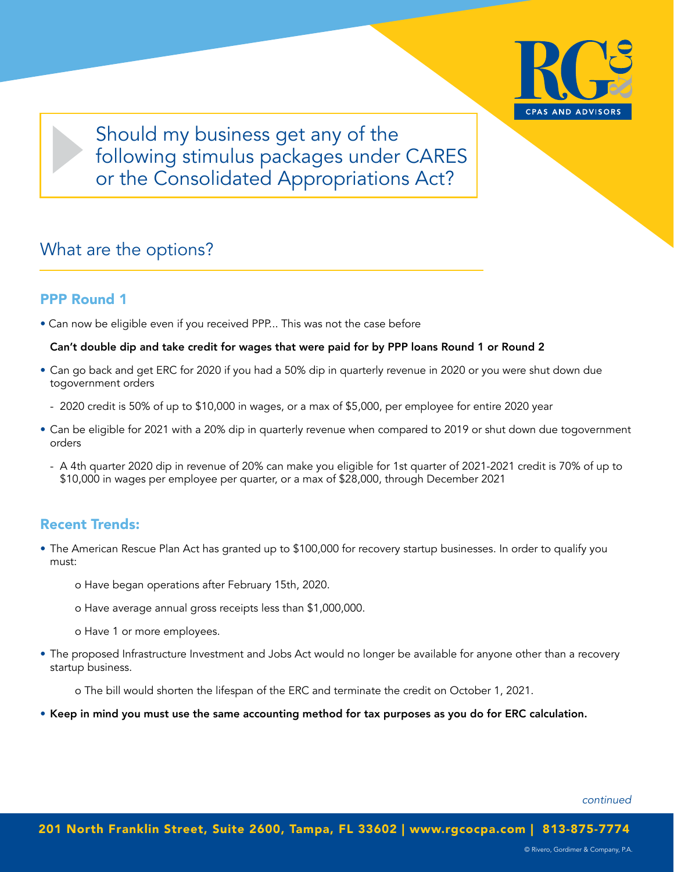

Should my business get any of the following stimulus packages under CARES or the Consolidated Appropriations Act?

### What are the options?

### PPP Round 1

• Can now be eligible even if you received PPP... This was not the case before

#### Can't double dip and take credit for wages that were paid for by PPP loans Round 1 or Round 2

- Can go back and get ERC for 2020 if you had a 50% dip in quarterly revenue in 2020 or you were shut down due togovernment orders
	- 2020 credit is 50% of up to \$10,000 in wages, or a max of \$5,000, per employee for entire 2020 year
- Can be eligible for 2021 with a 20% dip in quarterly revenue when compared to 2019 or shut down due togovernment orders
	- A 4th quarter 2020 dip in revenue of 20% can make you eligible for 1st quarter of 2021-2021 credit is 70% of up to \$10,000 in wages per employee per quarter, or a max of \$28,000, through December 2021

### Recent Trends:

- The American Rescue Plan Act has granted up to \$100,000 for recovery startup businesses. In order to qualify you must:
	- o Have began operations after February 15th, 2020.
	- o Have average annual gross receipts less than \$1,000,000.
	- o Have 1 or more employees.
- The proposed Infrastructure Investment and Jobs Act would no longer be available for anyone other than a recovery startup business.

o The bill would shorten the lifespan of the ERC and terminate the credit on October 1, 2021.

• Keep in mind you must use the same accounting method for tax purposes as you do for ERC calculation.